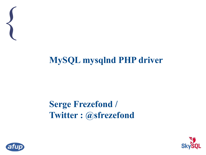

#### **MySQL mysqlnd PHP driver**

#### **Serge Frezefond / Twitter : @sfrezefond**



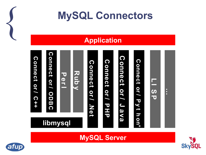

#### **MySQL Connectors**

#### **Application**



**MySQL Server**



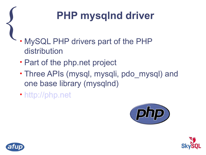#### **PHP mysqlnd driver**

- $\left\{\right.$ • MySQL PHP drivers part of the PHP distribution
	- Part of the php.net project
	- Three APIs (mysql, mysqli, pdo mysql) and one base library (mysqlnd)
	- [http://php.net](http://php.net/)





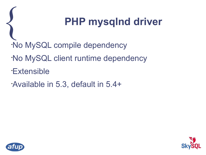#### { **PHP mysqlnd driver**

- •No MySQL compile dependency
- •No MySQL client runtime dependency
- •Extensible
- •Available in 5.3, default in 5.4+



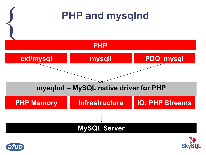



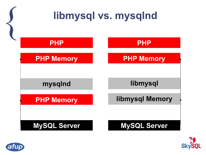



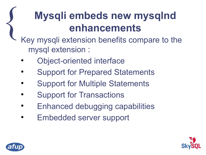#### **Mysqli embeds new mysqlnd enhancements**

- $\left\{\right.$ Key mysqli extension benefits compare to the mysql extension :
	- Object-oriented interface
	- Support for Prepared Statements
	- Support for Multiple Statements
	- Support for Transactions
	- Enhanced debugging capabilities
	- Embedded server support



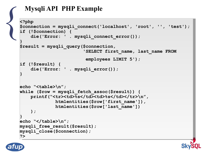#### **Mysqli API PHP Example**

```
Mys
end Mys
<br>
Sephp
sconne
if
(15
di
           $connection = mysqli_connect('localhost', 'root', '', 'test');
$connection = mysqli_connect('localhost', 'root', '', 'test');
           if (!$connection) {
if (!$connection) {
            die('Error: ' . mysqli_connect_error());
 die('Error: ' . mysqli_connect_error());
           $result = mysqli_query($connection,
$result = mysqli_query($connection,
            'SELECT first_name, last_name FROM
 'SELECT first_name, last_name FROM
            employees LIMIT 5');
 employees LIMIT 5');
           if (!$result) {
if (!$result) {
            die('Error: ' . mysqli_error());
 die('Error: ' . mysqli_error());
           echo "<table>\n";
echo "<table>\n";
           while ($row = mysqli_fetch_assoc($result)) {
while ($row = mysqli_fetch_assoc($result)) {
           printf("<tr><td>%s</td><td>%s</td></td></tr>
            htmlentities($row['first_name']),
 htmlentities($row['first_name']),
            htmlentities($row['last_name'])
 htmlentities($row['last_name'])
            );
 );
           echo "</table>\n";
echo "</table>\n";
           mysqli_free_result($result);
mysqli_free_result($result);
           mysqli_close($connection);
mysqli_close($connection);
           ?>
?>
           <?php
           }
           }
           }
```
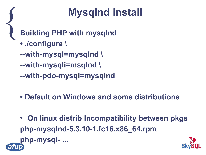#### **Mysqlnd install**

 $\left\{\right.$ **Building PHP with mysqlnd • ./configure \ --with-mysql=mysqlnd \ --with-mysqli=msqlnd \ --with-pdo-mysql=mysqlnd**

- **Default on Windows and some distributions**
- **On linux distrib Incompatibility between pkgs php-mysqlnd-5.3.10-1.fc16.x86\_64.rpm php-mysql- ...**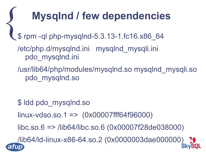#### **Mysqlnd / few dependencies**

 $\left\{\begin{matrix} 1 & 1 \\ 1 & 1 \end{matrix}\right\}$ \$ rpm -ql php-mysqlnd-5.3.13-1.fc16.x86\_64

/etc/php.d/mysqlnd.ini mysqlnd\_mysqli.ini pdo\_mysqlnd.ini

/usr/lib64/php/modules/mysqlnd.so mysqlnd\_mysqli.so pdo\_mysqlnd.so

\$ ldd pdo\_mysqlnd.so linux-vdso.so.1 => (0x00007fff64f96000) libc.so.6 => /lib64/libc.so.6 (0x00007f28de038000) /lib64/ld-linux-x86-64.so.2 (0x0000003dae000000)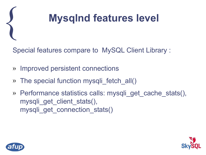

Special features compare to MySQL Client Library :

- » Improved persistent connections
- » The special function mysqli fetch all()
- » Performance statistics calls: mysqli\_get\_cache\_stats(), mysqli get client stats(), mysqli get connection stats()



 $\left\{\right.$ 

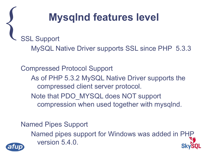#### **Mysqlnd features level**

 $\left\{\right.$ SSL Support

MySQL Native Driver supports SSL since PHP 5.3.3

Compressed Protocol Support As of PHP 5.3.2 MySQL Native Driver supports the compressed client server protocol. Note that PDO\_MYSQL does NOT support compression when used together with mysqlnd.

Named Pipes Support

Named pipes support for Windows was added in PHP version 5.4.0.

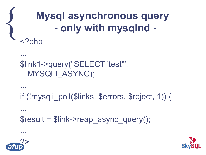#### **Mysql asynchronous query - only with mysqlnd -** <?php

```
$link1->query("SELECT 'test'", 
 MYSQLI_ASYNC);
```

```
...
if (!mysqli_poll($links, $errors, $reject, 1)) {
...
$result = $link->reap_async_query();
```


...

 $\left\{\right.$ 

...

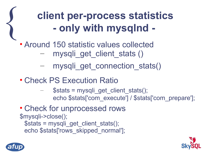#### **client per-process statistics - only with mysqlnd -**

## $\left\{\right.$ • Around 150 statistic values collected

- mysqli get client stats ()
- mysqli get connection stats()
- Check PS Execution Ratio
	- $$stats = mysqli get client stats();$ echo \$stats['com\_execute'] / \$stats['com\_prepare'];
- Check for unprocessed rows \$mysqli->close(); \$stats = mysqli\_get\_client\_stats(); echo \$stats['rows\_skipped\_normal'];



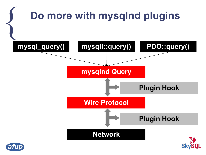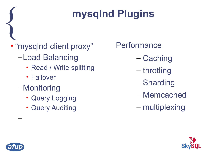#### **mysqlnd Plugins**

#### • "mysqlnd client proxy"

- Load Balancing
	- Read / Write splitting
	- Failover
- Monitoring
	- Query Logging
	- Query Auditing

**Performance** 

- Caching
- throtling
- Sharding
- Memcached
- multiplexing



–

 $\left\{\right.$ 

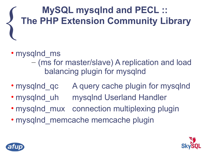#### $\left\{\right.$ **MySQL mysqlnd and PECL :: The PHP Extension Community Library**

#### • mysqlnd ms

– (ms for master/slave) A replication and load balancing plugin for mysqlnd

- mysqlnd qc A query cache plugin for mysqlnd
- mysqlnd uh mysqlnd Userland Handler
- mysqlnd mux connection multiplexing plugin
- mysqlnd memcache memcache plugin



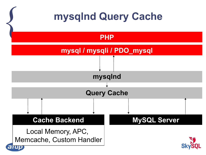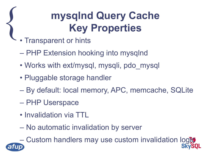#### **mysqlnd Query Cache Key Properties**

- $\left\{\right.$ • Transparent or hints
	- PHP Extension hooking into mysqlnd
	- Works with ext/mysql, mysqli, pdo\_mysql
	- Pluggable storage handler
	- By default: local memory, APC, memcache, SQLite
	- PHP Userspace
	- Invalidation via TTL
	- No automatic invalidation by server

– Custom handlers may use custom invalidation logic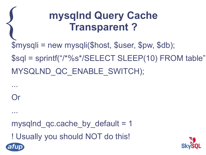#### **mysqlnd Query Cache Transparent ?**

\$mysqli = new mysqli(\$host, \$user, \$pw, \$db); \$sql = sprintf("/\*%s\*/SELECT SLEEP(10) FROM table",

MYSQLND\_QC\_ENABLE\_SWITCH);

...

 $\left\{\right.$ 

Or

...

mysqlnd  $qc\cdot cache$  by default = 1

! Usually you should NOT do this!



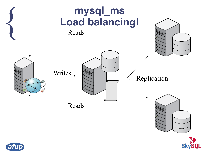



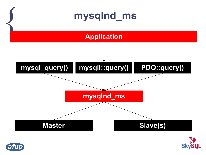



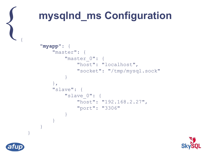

#### **mysqlnd\_ms Configuration**

```
 "myapp": {
        "master": {
           "master 0": {
                "host": "localhost",
                "socket": "/tmp/mysql.sock"
 }
        },
        "slave": {
            "slave_0": {
               "host": "192.168.2.27",
                "port": "3306"
 }
 }
 }
```


}

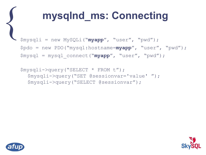#### **mysqlnd\_ms: Connecting**

 $\left\{\right.$ \$mysqli = new MySQLi("**myapp**", "user", "pwd"); \$pdo = new PDO("mysql:hostname=**myapp**", "user", "pwd"); \$mysql = mysql\_connect("**myapp**", "user", "pwd");

```
$mysqli->query("SELECT * FROM t");
  $mysqli->query("SET @sessionvar='value' ");
  $mysqli->query("SELECT @sessionvar");
```


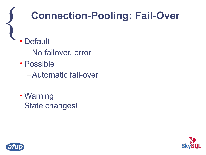#### **Connection-Pooling: Fail-Over**

- $\left\{\right.$ **Default** 
	- –No failover, error
	- Possible
		- –Automatic fail-over
	- Warning: State changes!



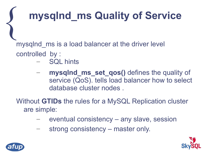#### **mysqlnd\_ms Quality of Service**

mysqlnd ms is a load balancer at the driver level controlled by :

- SQL hints
- **mysqlnd\_ms\_set\_qos()** defines the quality of service (QoS). tells load balancer how to select database cluster nodes .

Without **GTIDs** the rules for a MySQL Replication cluster are simple:

- eventual consistency any slave, session
- strong consistency master only.





 $\left\{\right.$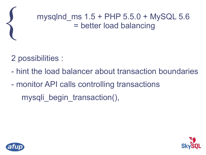

#### mysqlnd  $ms 1.5 + PHP 5.5.0 + MySQL 5.6$ = better load balancing

#### 2 possibilities :

- hint the load balancer about transaction boundaries
- monitor API calls controlling transactions mysqli begin transaction(),



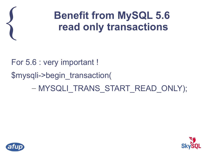

#### **Benefit from MySQL 5.6 read only transactions**

For 5.6 : very important ! \$mysqli->begin\_transaction( – MYSQLI\_TRANS\_START\_READ\_ONLY);



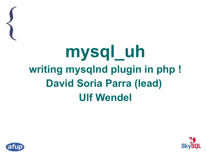### **mysql\_uh writing mysqlnd plugin in php ! David Soria Parra (lead) Ulf Wendel**



 $\left\{\right.$ 

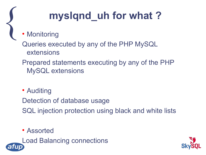#### **myslqnd\_uh for what ?**

• Monitoring

 $\left\{\right.$ 

Queries executed by any of the PHP MySQL extensions

Prepared statements executing by any of the PHP MySQL extensions

• Auditing

Detection of database usage SQL injection protection using black and white lists

Assorted

Load Balancing connections

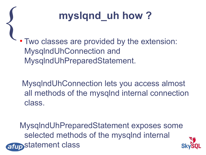

 $\left\{\right.$  Two classes are provided by the extension: MysqlndUhConnection and MysqlndUhPreparedStatement.

> MysqlndUhConnection lets you access almost all methods of the mysqlnd internal connection class.

MysqlndUhPreparedStatement exposes some selected methods of the mysqlnd internal afup statement class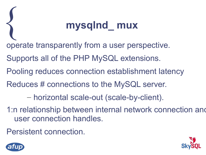#### { **mysqlnd\_ mux**

- operate transparently from a user perspective.
- Supports all of the PHP MySQL extensions.
- Pooling reduces connection establishment latency
- Reduces # connections to the MySQL server.
	- horizontal scale-out (scale-by-client).
- 1:n relationship between internal network connection and user connection handles.
- Persistent connection.



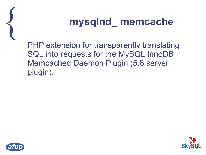

#### { **mysqlnd\_ memcache**

PHP extension for transparently translating SQL into requests for the MySQL InnoDB Memcached Daemon Plugin (5.6 server plugin).





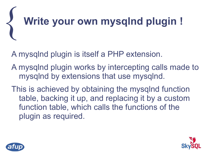# { **Write your own mysqlnd plugin !**

A mysqlnd plugin is itself a PHP extension.

A mysqlnd plugin works by intercepting calls made to mysqlnd by extensions that use mysqlnd.

This is achieved by obtaining the mysqlnd function table, backing it up, and replacing it by a custom function table, which calls the functions of the plugin as required.